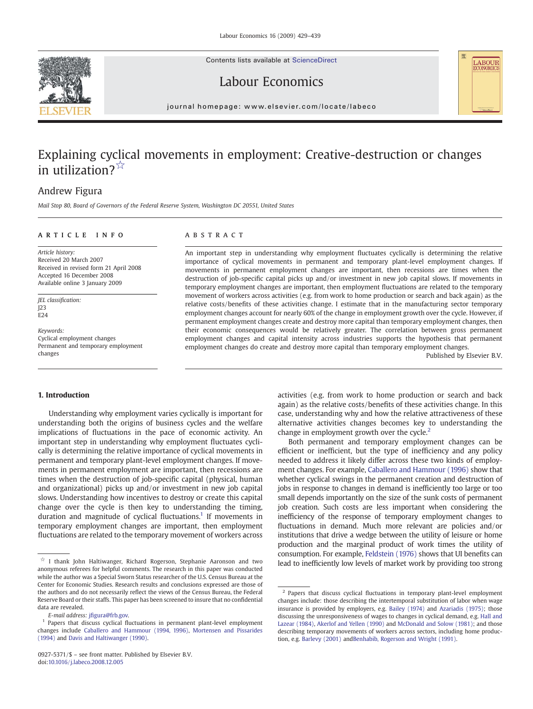Contents lists available at ScienceDirect





## Labour Economics

journal homepage: www.elsevier.com/locate/labeco

## Explaining cyclical movements in employment: Creative-destruction or changes in utilization?☆

## Andrew Figura

Mail Stop 80, Board of Governors of the Federal Reserve System, Washington DC 20551, United States

### article info abstract

Article history: Received 20 March 2007 Received in revised form 21 April 2008 Accepted 16 December 2008 Available online 3 January 2009

JEL classification: J23  $F24$ 

Keywords: Cyclical employment changes Permanent and temporary employment changes

An important step in understanding why employment fluctuates cyclically is determining the relative importance of cyclical movements in permanent and temporary plant-level employment changes. If movements in permanent employment changes are important, then recessions are times when the destruction of job-specific capital picks up and/or investment in new job capital slows. If movements in temporary employment changes are important, then employment fluctuations are related to the temporary movement of workers across activities (e.g. from work to home production or search and back again) as the relative costs/benefits of these activities change. I estimate that in the manufacturing sector temporary employment changes account for nearly 60% of the change in employment growth over the cycle. However, if permanent employment changes create and destroy more capital than temporary employment changes, then their economic consequences would be relatively greater. The correlation between gross permanent employment changes and capital intensity across industries supports the hypothesis that permanent employment changes do create and destroy more capital than temporary employment changes.

Published by Elsevier B.V.

### 1. Introduction

Understanding why employment varies cyclically is important for understanding both the origins of business cycles and the welfare implications of fluctuations in the pace of economic activity. An important step in understanding why employment fluctuates cyclically is determining the relative importance of cyclical movements in permanent and temporary plant-level employment changes. If movements in permanent employment are important, then recessions are times when the destruction of job-specific capital (physical, human and organizational) picks up and/or investment in new job capital slows. Understanding how incentives to destroy or create this capital change over the cycle is then key to understanding the timing, duration and magnitude of cyclical fluctuations.<sup>1</sup> If movements in temporary employment changes are important, then employment fluctuations are related to the temporary movement of workers across

activities (e.g. from work to home production or search and back again) as the relative costs/benefits of these activities change. In this case, understanding why and how the relative attractiveness of these alternative activities changes becomes key to understanding the change in employment growth over the cycle. $<sup>2</sup>$ </sup>

Both permanent and temporary employment changes can be efficient or inefficient, but the type of inefficiency and any policy needed to address it likely differ across these two kinds of employment changes. For example, [Caballero and Hammour \(1996\)](#page--1-0) show that whether cyclical swings in the permanent creation and destruction of jobs in response to changes in demand is inefficiently too large or too small depends importantly on the size of the sunk costs of permanent job creation. Such costs are less important when considering the inefficiency of the response of temporary employment changes to fluctuations in demand. Much more relevant are policies and/or institutions that drive a wedge between the utility of leisure or home production and the marginal product of work times the utility of consumption. For example, [Feldstein \(1976\)](#page--1-0) shows that UI benefits can lead to inefficiently low levels of market work by providing too strong

 $\overleftrightarrow{\mathbf{r}}$ I thank John Haltiwanger, Richard Rogerson, Stephanie Aaronson and two anonymous referees for helpful comments. The research in this paper was conducted while the author was a Special Sworn Status researcher of the U.S. Census Bureau at the Center for Economic Studies. Research results and conclusions expressed are those of the authors and do not necessarily reflect the views of the Census Bureau, the Federal Reserve Board or their staffs. This paper has been screened to insure that no confidential data are revealed.

E-mail address: jfi[gura@frb.gov.](mailto:jfigura@frb.gov)

<sup>1</sup> Papers that discuss cyclical fluctuations in permanent plant-level employment changes include [Caballero and Hammour \(1994, 1996\),](#page--1-0) [Mortensen and Pissarides](#page--1-0) [\(1994\)](#page--1-0) and [Davis and Haltiwanger \(1990\).](#page--1-0)

<sup>&</sup>lt;sup>2</sup> Papers that discuss cyclical fluctuations in temporary plant-level employment changes include: those describing the intertemporal substitution of labor when wage insurance is provided by employers, e.g. [Bailey \(1974\)](#page--1-0) and [Azariadis \(1975\);](#page--1-0) those discussing the unresponsiveness of wages to changes in cyclical demand, e.g. [Hall and](#page--1-0) [Lazear \(1984\),](#page--1-0) [Akerlof and Yellen \(1990\)](#page--1-0) and [McDonald and Solow \(1981\);](#page--1-0) and those describing temporary movements of workers across sectors, including home production, e.g. [Barlevy \(2001\)](#page--1-0) and[Benhabib, Rogerson and Wright \(1991\).](#page--1-0)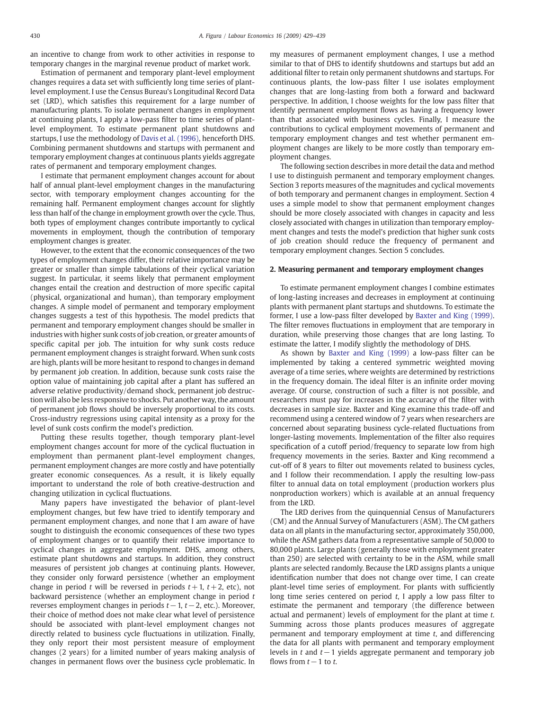an incentive to change from work to other activities in response to temporary changes in the marginal revenue product of market work.

Estimation of permanent and temporary plant-level employment changes requires a data set with sufficiently long time series of plantlevel employment. I use the Census Bureau's Longitudinal Record Data set (LRD), which satisfies this requirement for a large number of manufacturing plants. To isolate permanent changes in employment at continuing plants, I apply a low-pass filter to time series of plantlevel employment. To estimate permanent plant shutdowns and startups, I use the methodology of [Davis et al. \(1996\)](#page--1-0), henceforth DHS. Combining permanent shutdowns and startups with permanent and temporary employment changes at continuous plants yields aggregate rates of permanent and temporary employment changes.

I estimate that permanent employment changes account for about half of annual plant-level employment changes in the manufacturing sector, with temporary employment changes accounting for the remaining half. Permanent employment changes account for slightly less than half of the change in employment growth over the cycle. Thus, both types of employment changes contribute importantly to cyclical movements in employment, though the contribution of temporary employment changes is greater.

However, to the extent that the economic consequences of the two types of employment changes differ, their relative importance may be greater or smaller than simple tabulations of their cyclical variation suggest. In particular, it seems likely that permanent employment changes entail the creation and destruction of more specific capital (physical, organizational and human), than temporary employment changes. A simple model of permanent and temporary employment changes suggests a test of this hypothesis. The model predicts that permanent and temporary employment changes should be smaller in industries with higher sunk costs of job creation, or greater amounts of specific capital per job. The intuition for why sunk costs reduce permanent employment changes is straight forward. When sunk costs are high, plants will be more hesitant to respond to changes in demand by permanent job creation. In addition, because sunk costs raise the option value of maintaining job capital after a plant has suffered an adverse relative productivity/demand shock, permanent job destruction will also be less responsive to shocks. Put another way, the amount of permanent job flows should be inversely proportional to its costs. Cross-industry regressions using capital intensity as a proxy for the level of sunk costs confirm the model's prediction.

Putting these results together, though temporary plant-level employment changes account for more of the cyclical fluctuation in employment than permanent plant-level employment changes, permanent employment changes are more costly and have potentially greater economic consequences. As a result, it is likely equally important to understand the role of both creative-destruction and changing utilization in cyclical fluctuations.

Many papers have investigated the behavior of plant-level employment changes, but few have tried to identify temporary and permanent employment changes, and none that I am aware of have sought to distinguish the economic consequences of these two types of employment changes or to quantify their relative importance to cyclical changes in aggregate employment. DHS, among others, estimate plant shutdowns and startups. In addition, they construct measures of persistent job changes at continuing plants. However, they consider only forward persistence (whether an employment change in period t will be reversed in periods  $t + 1$ ,  $t + 2$ , etc), not backward persistence (whether an employment change in period  $t$ reverses employment changes in periods  $t-1$ ,  $t-2$ , etc.). Moreover, their choice of method does not make clear what level of persistence should be associated with plant-level employment changes not directly related to business cycle fluctuations in utilization. Finally, they only report their most persistent measure of employment changes (2 years) for a limited number of years making analysis of changes in permanent flows over the business cycle problematic. In

my measures of permanent employment changes, I use a method similar to that of DHS to identify shutdowns and startups but add an additional filter to retain only permanent shutdowns and startups. For continuous plants, the low-pass filter I use isolates employment changes that are long-lasting from both a forward and backward perspective. In addition, I choose weights for the low pass filter that identify permanent employment flows as having a frequency lower than that associated with business cycles. Finally, I measure the contributions to cyclical employment movements of permanent and temporary employment changes and test whether permanent employment changes are likely to be more costly than temporary employment changes.

The following section describes in more detail the data and method I use to distinguish permanent and temporary employment changes. Section 3 reports measures of the magnitudes and cyclical movements of both temporary and permanent changes in employment. Section 4 uses a simple model to show that permanent employment changes should be more closely associated with changes in capacity and less closely associated with changes in utilization than temporary employment changes and tests the model's prediction that higher sunk costs of job creation should reduce the frequency of permanent and temporary employment changes. Section 5 concludes.

### 2. Measuring permanent and temporary employment changes

To estimate permanent employment changes I combine estimates of long-lasting increases and decreases in employment at continuing plants with permanent plant startups and shutdowns. To estimate the former, I use a low-pass filter developed by [Baxter and King \(1999\).](#page--1-0) The filter removes fluctuations in employment that are temporary in duration, while preserving those changes that are long lasting. To estimate the latter, I modify slightly the methodology of DHS.

As shown by [Baxter and King \(1999\)](#page--1-0) a low-pass filter can be implemented by taking a centered symmetric weighted moving average of a time series, where weights are determined by restrictions in the frequency domain. The ideal filter is an infinite order moving average. Of course, construction of such a filter is not possible, and researchers must pay for increases in the accuracy of the filter with decreases in sample size. Baxter and King examine this trade-off and recommend using a centered window of 7 years when researchers are concerned about separating business cycle-related fluctuations from longer-lasting movements. Implementation of the filter also requires specification of a cutoff period/frequency to separate low from high frequency movements in the series. Baxter and King recommend a cut-off of 8 years to filter out movements related to business cycles, and I follow their recommendation. I apply the resulting low-pass filter to annual data on total employment (production workers plus nonproduction workers) which is available at an annual frequency from the LRD.

The LRD derives from the quinquennial Census of Manufacturers (CM) and the Annual Survey of Manufacturers (ASM). The CM gathers data on all plants in the manufacturing sector, approximately 350,000, while the ASM gathers data from a representative sample of 50,000 to 80,000 plants. Large plants (generally those with employment greater than 250) are selected with certainty to be in the ASM, while small plants are selected randomly. Because the LRD assigns plants a unique identification number that does not change over time, I can create plant-level time series of employment. For plants with sufficiently long time series centered on period  $t$ , I apply a low pass filter to estimate the permanent and temporary (the difference between actual and permanent) levels of employment for the plant at time t. Summing across those plants produces measures of aggregate permanent and temporary employment at time  $t$ , and differencing the data for all plants with permanent and temporary employment levels in t and  $t-1$  yields aggregate permanent and temporary job flows from  $t-1$  to  $t$ .